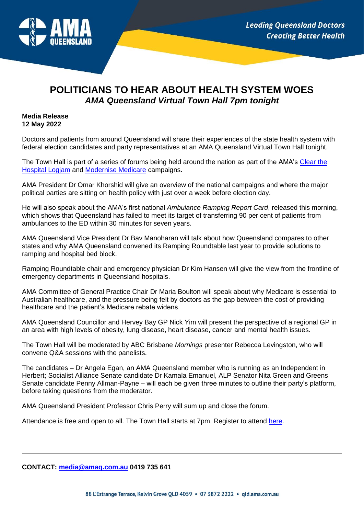

## **POLITICIANS TO HEAR ABOUT HEALTH SYSTEM WOES** *AMA Queensland Virtual Town Hall 7pm tonight*

## **Media Release 12 May 2022**

Doctors and patients from around Queensland will share their experiences of the state health system with federal election candidates and party representatives at an AMA Queensland Virtual Town Hall tonight.

The Town Hall is part of a series of forums being held around the nation as part of the AMA's Clear the [Hospital Logjam](https://www.ama.com.au/clear-the-hospital-logjam) and [Modernise Medicare](https://www.ama.com.au/modernise-medicare) campaigns.

AMA President Dr Omar Khorshid will give an overview of the national campaigns and where the major political parties are sitting on health policy with just over a week before election day.

He will also speak about the AMA's first national *Ambulance Ramping Report Card*, released this morning, which shows that Queensland has failed to meet its target of transferring 90 per cent of patients from ambulances to the ED within 30 minutes for seven years.

AMA Queensland Vice President Dr Bav Manoharan will talk about how Queensland compares to other states and why AMA Queensland convened its Ramping Roundtable last year to provide solutions to ramping and hospital bed block.

Ramping Roundtable chair and emergency physician Dr Kim Hansen will give the view from the frontline of emergency departments in Queensland hospitals.

AMA Committee of General Practice Chair Dr Maria Boulton will speak about why Medicare is essential to Australian healthcare, and the pressure being felt by doctors as the gap between the cost of providing healthcare and the patient's Medicare rebate widens.

AMA Queensland Councillor and Hervey Bay GP Nick Yim will present the perspective of a regional GP in an area with high levels of obesity, lung disease, heart disease, cancer and mental health issues.

The Town Hall will be moderated by ABC Brisbane *Mornings* presenter Rebecca Levingston, who will convene Q&A sessions with the panelists.

The candidates – Dr Angela Egan, an AMA Queensland member who is running as an Independent in Herbert; Socialist Alliance Senate candidate Dr Kamala Emanuel, ALP Senator Nita Green and Greens Senate candidate Penny Allman-Payne – will each be given three minutes to outline their party's platform, before taking questions from the moderator.

AMA Queensland President Professor Chris Perry will sum up and close the forum.

Attendance is free and open to all. The Town Hall starts at 7pm. Register to attend [here.](https://www.eventbrite.com.au/e/ama-queensland-virtual-town-hall-tickets-332362544317)

**CONTACT: [media@amaq.com.au](mailto:media@amaq.com.au) 0419 735 641**